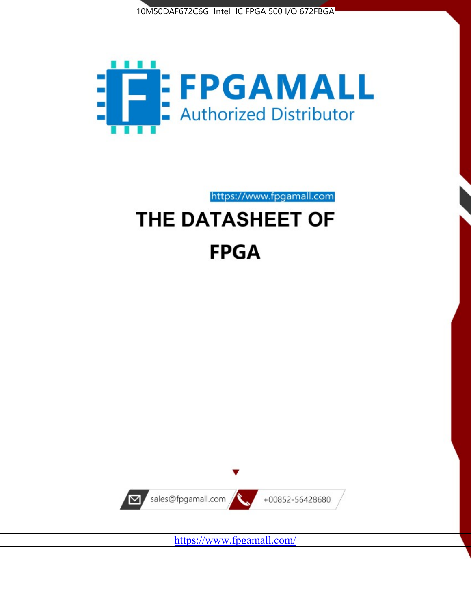



# https://www.fpgamall.com THE DATASHEET OF **FPGA**



<https://www.fpgamall.com/>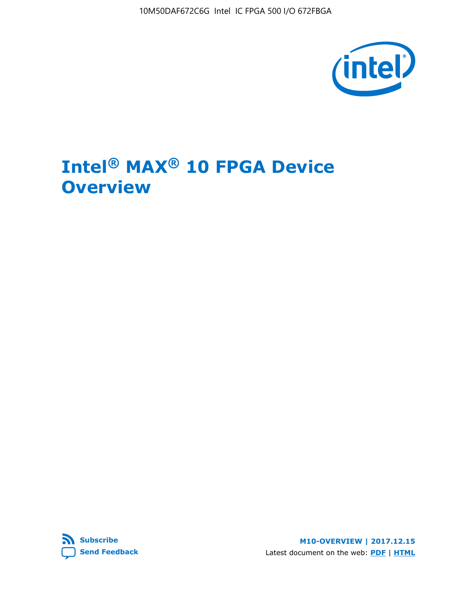10M50DAF672C6G Intel IC FPGA 500 I/O 672FBGA



# **Intel® MAX® 10 FPGA Device Overview**



**M10-OVERVIEW | 2017.12.15** Latest document on the web: **[PDF](https://www.altera.com/en_US/pdfs/literature/hb/max-10/m10_overview.pdf)** | **[HTML](https://www.altera.com/documentation/myt1396938463674.html)**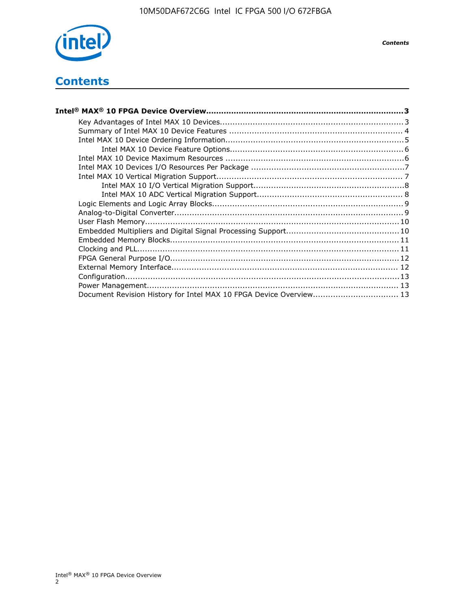

*Contents*

# **Contents**

| Intel® MAX® 10 FPGA Device Overview……………………………………………………………………………3  |  |
|--------------------------------------------------------------------|--|
|                                                                    |  |
|                                                                    |  |
|                                                                    |  |
|                                                                    |  |
|                                                                    |  |
|                                                                    |  |
|                                                                    |  |
|                                                                    |  |
|                                                                    |  |
|                                                                    |  |
|                                                                    |  |
|                                                                    |  |
|                                                                    |  |
|                                                                    |  |
|                                                                    |  |
|                                                                    |  |
|                                                                    |  |
|                                                                    |  |
|                                                                    |  |
| Document Revision History for Intel MAX 10 FPGA Device Overview 13 |  |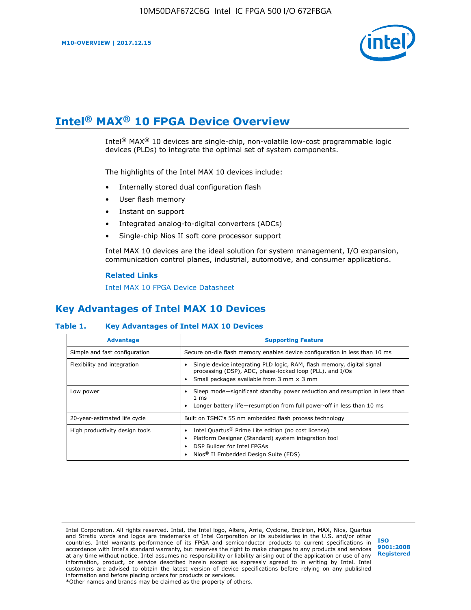

# **Intel® MAX® 10 FPGA Device Overview**

Intel<sup>®</sup> MAX<sup>®</sup> 10 devices are single-chip, non-volatile low-cost programmable logic devices (PLDs) to integrate the optimal set of system components.

The highlights of the Intel MAX 10 devices include:

- Internally stored dual configuration flash
- User flash memory
- Instant on support
- Integrated analog-to-digital converters (ADCs)
- Single-chip Nios II soft core processor support

Intel MAX 10 devices are the ideal solution for system management, I/O expansion, communication control planes, industrial, automotive, and consumer applications.

#### **Related Links**

[Intel MAX 10 FPGA Device Datasheet](https://www.altera.com/documentation/mcn1397700832153.html#mcn1397643748870)

## **Key Advantages of Intel MAX 10 Devices**

## **Table 1. Key Advantages of Intel MAX 10 Devices**

| <b>Advantage</b>               | <b>Supporting Feature</b>                                                                                                                                                                                  |  |  |  |
|--------------------------------|------------------------------------------------------------------------------------------------------------------------------------------------------------------------------------------------------------|--|--|--|
| Simple and fast configuration  | Secure on-die flash memory enables device configuration in less than 10 ms                                                                                                                                 |  |  |  |
| Flexibility and integration    | Single device integrating PLD logic, RAM, flash memory, digital signal<br>processing (DSP), ADC, phase-locked loop (PLL), and I/Os<br>Small packages available from 3 mm $\times$ 3 mm                     |  |  |  |
| Low power                      | Sleep mode—significant standby power reduction and resumption in less than<br>$1 \text{ ms}$<br>Longer battery life-resumption from full power-off in less than 10 ms                                      |  |  |  |
| 20-year-estimated life cycle   | Built on TSMC's 55 nm embedded flash process technology                                                                                                                                                    |  |  |  |
| High productivity design tools | Intel Quartus <sup>®</sup> Prime Lite edition (no cost license)<br>Platform Designer (Standard) system integration tool<br>DSP Builder for Intel FPGAs<br>Nios <sup>®</sup> II Embedded Design Suite (EDS) |  |  |  |

Intel Corporation. All rights reserved. Intel, the Intel logo, Altera, Arria, Cyclone, Enpirion, MAX, Nios, Quartus and Stratix words and logos are trademarks of Intel Corporation or its subsidiaries in the U.S. and/or other countries. Intel warrants performance of its FPGA and semiconductor products to current specifications in accordance with Intel's standard warranty, but reserves the right to make changes to any products and services at any time without notice. Intel assumes no responsibility or liability arising out of the application or use of any information, product, or service described herein except as expressly agreed to in writing by Intel. Intel customers are advised to obtain the latest version of device specifications before relying on any published information and before placing orders for products or services. \*Other names and brands may be claimed as the property of others.

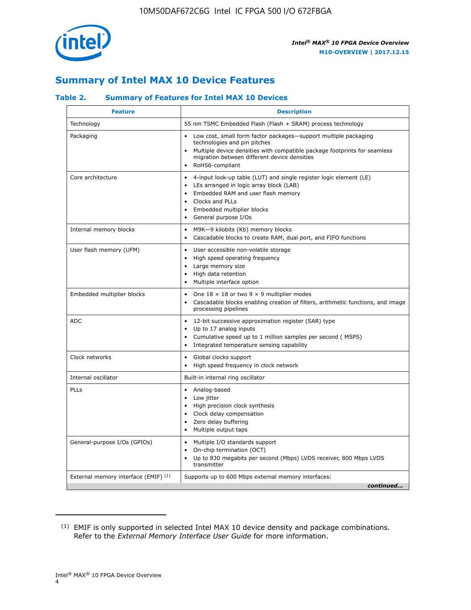

# **Summary of Intel MAX 10 Device Features**

## **Table 2. Summary of Features for Intel MAX 10 Devices**

| <b>Feature</b>                       | <b>Description</b>                                                                                                                                                                                                                                                                                         |
|--------------------------------------|------------------------------------------------------------------------------------------------------------------------------------------------------------------------------------------------------------------------------------------------------------------------------------------------------------|
| Technology                           | 55 nm TSMC Embedded Flash (Flash + SRAM) process technology                                                                                                                                                                                                                                                |
| Packaging                            | Low cost, small form factor packages-support multiple packaging<br>technologies and pin pitches<br>Multiple device densities with compatible package footprints for seamless<br>migration between different device densities<br>RoHS6-compliant                                                            |
| Core architecture                    | 4-input look-up table (LUT) and single register logic element (LE)<br>$\bullet$<br>LEs arranged in logic array block (LAB)<br>$\bullet$<br>Embedded RAM and user flash memory<br>$\bullet$<br>Clocks and PLLs<br>$\bullet$<br>Embedded multiplier blocks<br>$\bullet$<br>General purpose I/Os<br>$\bullet$ |
| Internal memory blocks               | M9K-9 kilobits (Kb) memory blocks<br>$\bullet$<br>Cascadable blocks to create RAM, dual port, and FIFO functions<br>$\bullet$                                                                                                                                                                              |
| User flash memory (UFM)              | User accessible non-volatile storage<br>$\bullet$<br>High speed operating frequency<br>$\bullet$<br>Large memory size<br>High data retention<br>$\bullet$<br>Multiple interface option                                                                                                                     |
| Embedded multiplier blocks           | One $18 \times 18$ or two 9 $\times$ 9 multiplier modes<br>$\bullet$<br>Cascadable blocks enabling creation of filters, arithmetic functions, and image<br>processing pipelines                                                                                                                            |
| <b>ADC</b>                           | 12-bit successive approximation register (SAR) type<br>$\bullet$<br>Up to 17 analog inputs<br>$\bullet$<br>Cumulative speed up to 1 million samples per second (MSPS)<br>Integrated temperature sensing capability<br>$\bullet$                                                                            |
| Clock networks                       | Global clocks support<br>$\bullet$<br>High speed frequency in clock network                                                                                                                                                                                                                                |
| Internal oscillator                  | Built-in internal ring oscillator                                                                                                                                                                                                                                                                          |
| PLLs                                 | • Analog-based<br>Low jitter<br>$\bullet$<br>High precision clock synthesis<br>$\bullet$<br>Clock delay compensation<br>$\bullet$<br>Zero delay buffering<br>$\bullet$<br>Multiple output taps<br>$\bullet$                                                                                                |
| General-purpose I/Os (GPIOs)         | • Multiple I/O standards support<br>On-chip termination (OCT)<br>$\bullet$<br>Up to 830 megabits per second (Mbps) LVDS receiver, 800 Mbps LVDS<br>transmitter                                                                                                                                             |
| External memory interface (EMIF) (1) | Supports up to 600 Mbps external memory interfaces:<br>continued                                                                                                                                                                                                                                           |

<sup>(1)</sup> EMIF is only supported in selected Intel MAX 10 device density and package combinations. Refer to the *External Memory Interface User Guide* for more information.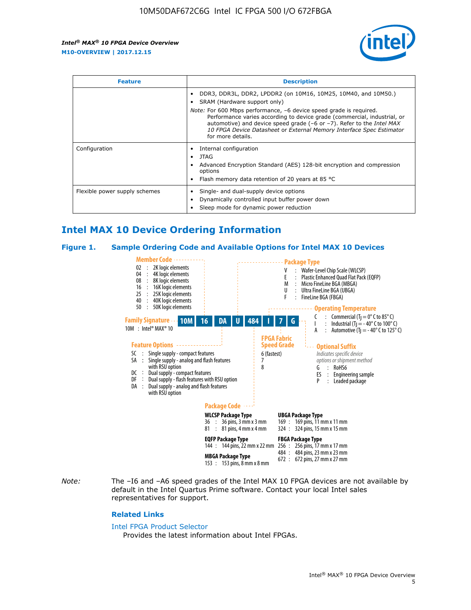

| <b>Feature</b>                | <b>Description</b>                                                                                                                                                                                                                                                                                                                 |  |  |  |
|-------------------------------|------------------------------------------------------------------------------------------------------------------------------------------------------------------------------------------------------------------------------------------------------------------------------------------------------------------------------------|--|--|--|
|                               | DDR3, DDR3L, DDR2, LPDDR2 (on 10M16, 10M25, 10M40, and 10M50.)<br>SRAM (Hardware support only)                                                                                                                                                                                                                                     |  |  |  |
|                               | <i>Note:</i> For 600 Mbps performance, -6 device speed grade is required.<br>Performance varies according to device grade (commercial, industrial, or<br>automotive) and device speed grade (-6 or -7). Refer to the <i>Intel MAX</i><br>10 FPGA Device Datasheet or External Memory Interface Spec Estimator<br>for more details. |  |  |  |
| Configuration                 | Internal configuration                                                                                                                                                                                                                                                                                                             |  |  |  |
|                               | JTAG<br>$\bullet$                                                                                                                                                                                                                                                                                                                  |  |  |  |
|                               | Advanced Encryption Standard (AES) 128-bit encryption and compression<br>options                                                                                                                                                                                                                                                   |  |  |  |
|                               | Flash memory data retention of 20 years at 85 $^{\circ}$ C                                                                                                                                                                                                                                                                         |  |  |  |
| Flexible power supply schemes | Single- and dual-supply device options<br>Dynamically controlled input buffer power down<br>Sleep mode for dynamic power reduction                                                                                                                                                                                                 |  |  |  |

# **Intel MAX 10 Device Ordering Information**

#### **Figure 1. Sample Ordering Code and Available Options for Intel MAX 10 Devices**



*Note:* The –I6 and –A6 speed grades of the Intel MAX 10 FPGA devices are not available by default in the Intel Quartus Prime software. Contact your local Intel sales representatives for support.

#### **Related Links**

#### [Intel FPGA Product Selector](http://www.altera.com/products/selector/psg-selector.html)

Provides the latest information about Intel FPGAs.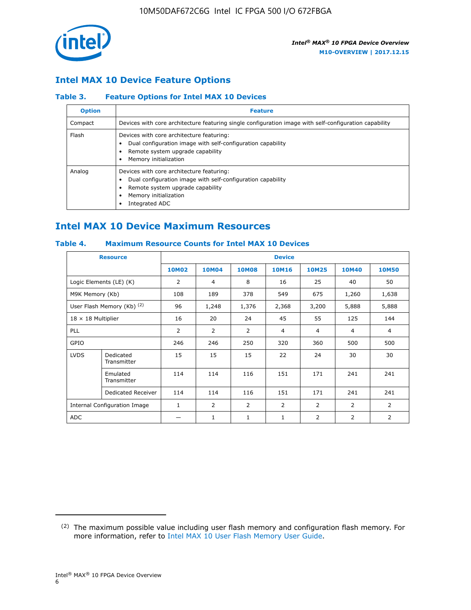

## **Intel MAX 10 Device Feature Options**

## **Table 3. Feature Options for Intel MAX 10 Devices**

| <b>Option</b> | <b>Feature</b>                                                                                                                                                                          |
|---------------|-----------------------------------------------------------------------------------------------------------------------------------------------------------------------------------------|
| Compact       | Devices with core architecture featuring single configuration image with self-configuration capability                                                                                  |
| Flash         | Devices with core architecture featuring:<br>Dual configuration image with self-configuration capability<br>Remote system upgrade capability<br>Memory initialization                   |
| Analog        | Devices with core architecture featuring:<br>Dual configuration image with self-configuration capability<br>Remote system upgrade capability<br>Memory initialization<br>Integrated ADC |

# **Intel MAX 10 Device Maximum Resources**

## **Table 4. Maximum Resource Counts for Intel MAX 10 Devices**

| <b>Resource</b>              |                            | <b>Device</b>  |              |              |                |                |              |                |
|------------------------------|----------------------------|----------------|--------------|--------------|----------------|----------------|--------------|----------------|
|                              |                            | <b>10M02</b>   | <b>10M04</b> | <b>10M08</b> | <b>10M16</b>   | <b>10M25</b>   | <b>10M40</b> | <b>10M50</b>   |
|                              | Logic Elements (LE) (K)    | $\overline{2}$ | 4            | 8            | 16             | 25             | 40           | 50             |
| M9K Memory (Kb)              |                            | 108            | 189          | 378          | 549            | 675            | 1,260        | 1,638          |
|                              | User Flash Memory (Kb) (2) | 96             | 1,248        | 1,376        | 2,368          | 3,200          | 5,888        | 5,888          |
| $18 \times 18$ Multiplier    |                            | 16             | 20           | 24           | 45             | 55             | 125          | 144            |
| <b>PLL</b>                   |                            | 2              | 2            | 2            | $\overline{4}$ | $\overline{4}$ | 4            | $\overline{4}$ |
| GPIO                         |                            | 246            | 246          | 250          | 320            | 360            | 500          | 500            |
| <b>LVDS</b>                  | Dedicated<br>Transmitter   | 15             | 15           | 15           | 22             | 24             | 30           | 30             |
|                              | Emulated<br>Transmitter    | 114            | 114          | 116          | 151            | 171            | 241          | 241            |
|                              | Dedicated Receiver         | 114            | 114          | 116          | 151            | 171            | 241          | 241            |
| Internal Configuration Image |                            | $\mathbf{1}$   | 2            | 2            | $\overline{2}$ | 2              | 2            | $\overline{2}$ |
| <b>ADC</b>                   |                            |                | 1            | 1            | $\mathbf{1}$   | 2              | 2            | 2              |

<sup>(2)</sup> The maximum possible value including user flash memory and configuration flash memory. For more information, refer to [Intel MAX 10 User Flash Memory User Guide](https://www.altera.com/documentation/vgo1395753117436.html#vgo1395811844282).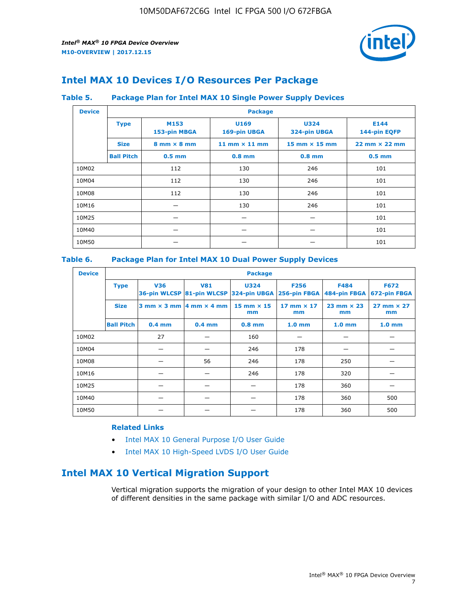

# **Intel MAX 10 Devices I/O Resources Per Package**

## **Table 5. Package Plan for Intel MAX 10 Single Power Supply Devices**

| <b>Device</b> |                   | <b>Package</b>                     |                      |                             |                                      |  |  |  |  |
|---------------|-------------------|------------------------------------|----------------------|-----------------------------|--------------------------------------|--|--|--|--|
|               | <b>Type</b>       | M153<br>153-pin MBGA               | U169<br>169-pin UBGA | <b>U324</b><br>324-pin UBGA | E144<br>144-pin EQFP                 |  |  |  |  |
|               | <b>Size</b>       | $8 \text{ mm} \times 8 \text{ mm}$ | 11 mm $\times$ 11 mm | $15$ mm $\times$ 15 mm      | $22 \text{ mm} \times 22 \text{ mm}$ |  |  |  |  |
|               | <b>Ball Pitch</b> | $0.5$ mm                           | $0.8$ mm             | $0.8$ mm                    | $0.5$ mm                             |  |  |  |  |
| 10M02         |                   | 112                                | 130                  | 246                         | 101                                  |  |  |  |  |
| 10M04         |                   | 112                                | 130                  | 246                         | 101                                  |  |  |  |  |
| 10M08         |                   | 112                                | 130                  | 246                         | 101                                  |  |  |  |  |
| 10M16         |                   |                                    | 130                  | 246                         | 101                                  |  |  |  |  |
| 10M25         |                   |                                    |                      |                             | 101                                  |  |  |  |  |
| 10M40         |                   |                                    |                      |                             | 101                                  |  |  |  |  |
| 10M50         |                   |                                    |                      |                             | 101                                  |  |  |  |  |

## **Table 6. Package Plan for Intel MAX 10 Dual Power Supply Devices**

| <b>Device</b> |                   | <b>Package</b> |                                            |                                                                    |                         |                           |                             |  |  |
|---------------|-------------------|----------------|--------------------------------------------|--------------------------------------------------------------------|-------------------------|---------------------------|-----------------------------|--|--|
|               | <b>Type</b>       | <b>V36</b>     | <b>V81</b>                                 | <b>U324</b><br>36-pin WLCSP 81-pin WLCSP 324-pin UBGA 256-pin FBGA | <b>F256</b>             | F484<br>484-pin FBGA      | <b>F672</b><br>672-pin FBGA |  |  |
|               | <b>Size</b>       |                | $3$ mm $\times$ 3 mm $ 4$ mm $\times$ 4 mm | $15$ mm $\times$ 15<br>mm                                          | 17 mm $\times$ 17<br>mm | $23$ mm $\times$ 23<br>mm | $27$ mm $\times$ 27<br>mm   |  |  |
|               | <b>Ball Pitch</b> | $0.4$ mm       | $0.4$ mm                                   | $0.8$ mm                                                           | 1.0 <sub>mm</sub>       | 1.0 <sub>mm</sub>         | 1.0 <sub>mm</sub>           |  |  |
| 10M02         |                   | 27             |                                            | 160                                                                |                         |                           |                             |  |  |
| 10M04         |                   |                |                                            | 246                                                                | 178                     |                           |                             |  |  |
| 10M08         |                   |                | 56                                         | 246                                                                | 178                     | 250                       |                             |  |  |
| 10M16         |                   |                |                                            | 246                                                                | 178                     | 320                       |                             |  |  |
| 10M25         |                   |                |                                            |                                                                    | 178                     | 360                       |                             |  |  |
| 10M40         |                   |                |                                            |                                                                    | 178                     | 360                       | 500                         |  |  |
| 10M50         |                   |                |                                            |                                                                    | 178                     | 360                       | 500                         |  |  |

## **Related Links**

- [Intel MAX 10 General Purpose I/O User Guide](https://www.altera.com/documentation/sam1393999966669.html#sam1394000084476)
- [Intel MAX 10 High-Speed LVDS I/O User Guide](https://www.altera.com/documentation/sam1394433606063.html#sam1394433911642)

# **Intel MAX 10 Vertical Migration Support**

Vertical migration supports the migration of your design to other Intel MAX 10 devices of different densities in the same package with similar I/O and ADC resources.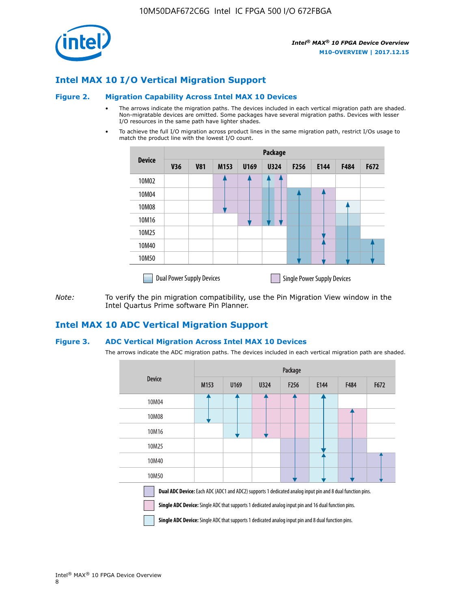

## **Intel MAX 10 I/O Vertical Migration Support**

#### **Figure 2. Migration Capability Across Intel MAX 10 Devices**

- The arrows indicate the migration paths. The devices included in each vertical migration path are shaded. Non-migratable devices are omitted. Some packages have several migration paths. Devices with lesser I/O resources in the same path have lighter shades.
- To achieve the full I/O migration across product lines in the same migration path, restrict I/Os usage to match the product line with the lowest I/O count.

|               | Package                          |            |      |      |             |                  |                                    |      |      |  |
|---------------|----------------------------------|------------|------|------|-------------|------------------|------------------------------------|------|------|--|
| <b>Device</b> | <b>V36</b>                       | <b>V81</b> | M153 | U169 | <b>U324</b> | F <sub>256</sub> | E144                               | F484 | F672 |  |
| 10M02         |                                  |            |      |      | 7           |                  |                                    |      |      |  |
| 10M04         |                                  |            |      |      |             |                  |                                    |      |      |  |
| 10M08         |                                  |            |      |      |             |                  |                                    |      |      |  |
| 10M16         |                                  |            |      |      |             |                  |                                    |      |      |  |
| 10M25         |                                  |            |      |      |             |                  |                                    |      |      |  |
| 10M40         |                                  |            |      |      |             |                  |                                    |      |      |  |
| 10M50         |                                  |            |      |      |             |                  |                                    |      |      |  |
|               | <b>Dual Power Supply Devices</b> |            |      |      |             |                  | <b>Single Power Supply Devices</b> |      |      |  |

*Note:* To verify the pin migration compatibility, use the Pin Migration View window in the Intel Quartus Prime software Pin Planner.

## **Intel MAX 10 ADC Vertical Migration Support**

#### **Figure 3. ADC Vertical Migration Across Intel MAX 10 Devices**

The arrows indicate the ADC migration paths. The devices included in each vertical migration path are shaded.

|                                                                                                                                                                                                                         | Package |      |      |                  |      |             |      |  |  |
|-------------------------------------------------------------------------------------------------------------------------------------------------------------------------------------------------------------------------|---------|------|------|------------------|------|-------------|------|--|--|
| <b>Device</b>                                                                                                                                                                                                           | M153    | U169 | U324 | F <sub>256</sub> | E144 | <b>F484</b> | F672 |  |  |
| 10M04                                                                                                                                                                                                                   |         |      |      |                  |      |             |      |  |  |
| 10M08                                                                                                                                                                                                                   |         |      |      |                  |      |             |      |  |  |
| 10M16                                                                                                                                                                                                                   |         |      |      |                  |      |             |      |  |  |
| 10M25                                                                                                                                                                                                                   |         |      |      |                  |      |             |      |  |  |
| 10M40                                                                                                                                                                                                                   |         |      |      |                  |      |             |      |  |  |
| 10M50                                                                                                                                                                                                                   |         |      |      |                  |      |             |      |  |  |
| Dual ADC Device: Each ADC (ADC1 and ADC2) supports 1 dedicated analog input pin and 8 dual function pins.<br><b>Single ADC Device:</b> Single ADC that supports 1 dedicated analog input pin and 16 dual function pins. |         |      |      |                  |      |             |      |  |  |

**Single ADC Device:** Single ADC that supports 1 dedicated analog input pin and 8 dual function pins.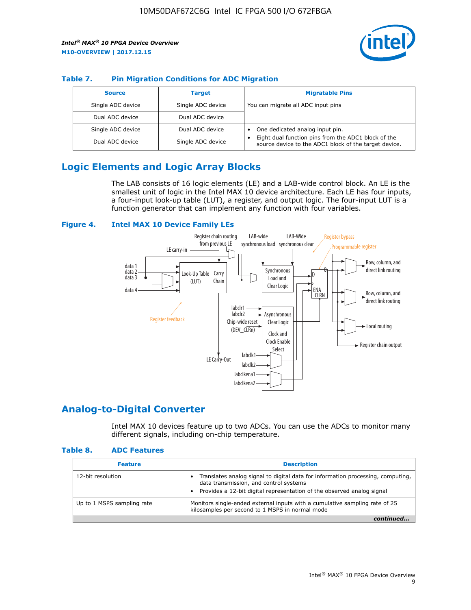

## **Table 7. Pin Migration Conditions for ADC Migration**

| <b>Source</b>     | <b>Target</b>     | <b>Migratable Pins</b>                                                                                            |
|-------------------|-------------------|-------------------------------------------------------------------------------------------------------------------|
| Single ADC device | Single ADC device | You can migrate all ADC input pins                                                                                |
| Dual ADC device   | Dual ADC device   |                                                                                                                   |
| Single ADC device | Dual ADC device   | One dedicated analog input pin.                                                                                   |
| Dual ADC device   | Single ADC device | Eight dual function pins from the ADC1 block of the<br>٠<br>source device to the ADC1 block of the target device. |

# **Logic Elements and Logic Array Blocks**

The LAB consists of 16 logic elements (LE) and a LAB-wide control block. An LE is the smallest unit of logic in the Intel MAX 10 device architecture. Each LE has four inputs, a four-input look-up table (LUT), a register, and output logic. The four-input LUT is a function generator that can implement any function with four variables.

#### **Figure 4. Intel MAX 10 Device Family LEs**



## **Analog-to-Digital Converter**

Intel MAX 10 devices feature up to two ADCs. You can use the ADCs to monitor many different signals, including on-chip temperature.

#### **Table 8. ADC Features**

| <b>Feature</b>             | <b>Description</b>                                                                                                                                                                                  |
|----------------------------|-----------------------------------------------------------------------------------------------------------------------------------------------------------------------------------------------------|
| 12-bit resolution          | Translates analog signal to digital data for information processing, computing,<br>data transmission, and control systems<br>Provides a 12-bit digital representation of the observed analog signal |
| Up to 1 MSPS sampling rate | Monitors single-ended external inputs with a cumulative sampling rate of 25<br>kilosamples per second to 1 MSPS in normal mode                                                                      |
|                            |                                                                                                                                                                                                     |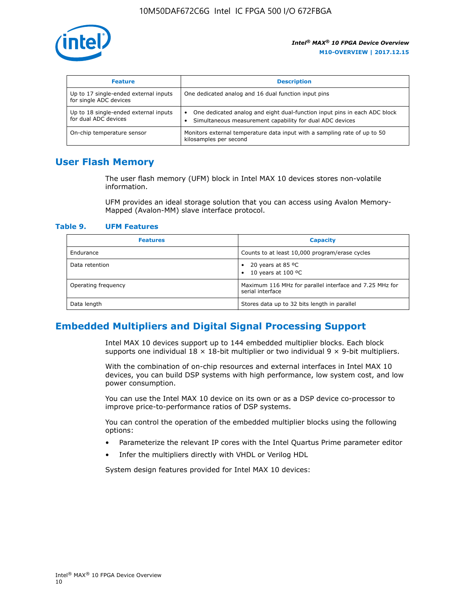

| <b>Feature</b>                                                  | <b>Description</b>                                                                                                                         |
|-----------------------------------------------------------------|--------------------------------------------------------------------------------------------------------------------------------------------|
| Up to 17 single-ended external inputs<br>for single ADC devices | One dedicated analog and 16 dual function input pins                                                                                       |
| Up to 18 single-ended external inputs<br>for dual ADC devices   | One dedicated analog and eight dual-function input pins in each ADC block<br>٠<br>Simultaneous measurement capability for dual ADC devices |
| On-chip temperature sensor                                      | Monitors external temperature data input with a sampling rate of up to 50<br>kilosamples per second                                        |

## **User Flash Memory**

The user flash memory (UFM) block in Intel MAX 10 devices stores non-volatile information.

UFM provides an ideal storage solution that you can access using Avalon Memory-Mapped (Avalon-MM) slave interface protocol.

#### **Table 9. UFM Features**

| <b>Features</b>     | <b>Capacity</b>                                                             |
|---------------------|-----------------------------------------------------------------------------|
| Endurance           | Counts to at least 10,000 program/erase cycles                              |
| Data retention      | 20 years at 85 $^{\circ}$ C<br>٠<br>10 years at 100 °C<br>$\bullet$         |
| Operating frequency | Maximum 116 MHz for parallel interface and 7.25 MHz for<br>serial interface |
| Data length         | Stores data up to 32 bits length in parallel                                |

## **Embedded Multipliers and Digital Signal Processing Support**

Intel MAX 10 devices support up to 144 embedded multiplier blocks. Each block supports one individual  $18 \times 18$ -bit multiplier or two individual  $9 \times 9$ -bit multipliers.

With the combination of on-chip resources and external interfaces in Intel MAX 10 devices, you can build DSP systems with high performance, low system cost, and low power consumption.

You can use the Intel MAX 10 device on its own or as a DSP device co-processor to improve price-to-performance ratios of DSP systems.

You can control the operation of the embedded multiplier blocks using the following options:

- Parameterize the relevant IP cores with the Intel Quartus Prime parameter editor
- Infer the multipliers directly with VHDL or Verilog HDL

System design features provided for Intel MAX 10 devices: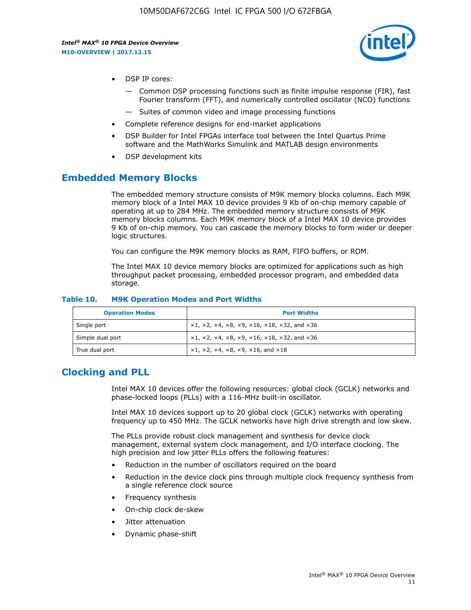

- DSP IP cores:
	- Common DSP processing functions such as finite impulse response (FIR), fast Fourier transform (FFT), and numerically controlled oscillator (NCO) functions
	- Suites of common video and image processing functions
- Complete reference designs for end-market applications
- DSP Builder for Intel FPGAs interface tool between the Intel Quartus Prime software and the MathWorks Simulink and MATLAB design environments
- DSP development kits

## **Embedded Memory Blocks**

The embedded memory structure consists of M9K memory blocks columns. Each M9K memory block of a Intel MAX 10 device provides 9 Kb of on-chip memory capable of operating at up to 284 MHz. The embedded memory structure consists of M9K memory blocks columns. Each M9K memory block of a Intel MAX 10 device provides 9 Kb of on-chip memory. You can cascade the memory blocks to form wider or deeper logic structures.

You can configure the M9K memory blocks as RAM, FIFO buffers, or ROM.

The Intel MAX 10 device memory blocks are optimized for applications such as high throughput packet processing, embedded processor program, and embedded data storage.

| <b>Operation Modes</b> | <b>Port Widths</b>                                                            |
|------------------------|-------------------------------------------------------------------------------|
| Single port            | $x1, x2, x4, x8, x9, x16, x18, x32, and x36$                                  |
| Simple dual port       | $x1, x2, x4, x8, x9, x16, x18, x32, and x36$                                  |
| True dual port         | $\times1, \times2, \times4, \times8, \times9, \times16, \text{and } \times18$ |

#### **Table 10. M9K Operation Modes and Port Widths**

## **Clocking and PLL**

Intel MAX 10 devices offer the following resources: global clock (GCLK) networks and phase-locked loops (PLLs) with a 116-MHz built-in oscillator.

Intel MAX 10 devices support up to 20 global clock (GCLK) networks with operating frequency up to 450 MHz. The GCLK networks have high drive strength and low skew.

The PLLs provide robust clock management and synthesis for device clock management, external system clock management, and I/O interface clocking. The high precision and low jitter PLLs offers the following features:

- Reduction in the number of oscillators required on the board
- Reduction in the device clock pins through multiple clock frequency synthesis from a single reference clock source
- Frequency synthesis
- On-chip clock de-skew
- Jitter attenuation
- Dynamic phase-shift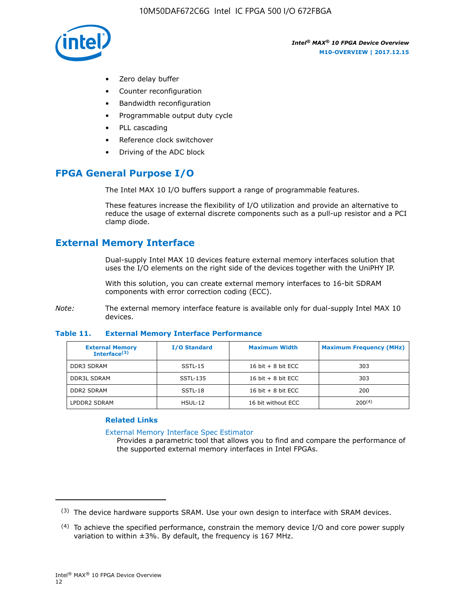

- Zero delay buffer
- Counter reconfiguration
- Bandwidth reconfiguration
- Programmable output duty cycle
- PLL cascading
- Reference clock switchover
- Driving of the ADC block

# **FPGA General Purpose I/O**

The Intel MAX 10 I/O buffers support a range of programmable features.

These features increase the flexibility of I/O utilization and provide an alternative to reduce the usage of external discrete components such as a pull-up resistor and a PCI clamp diode.

# **External Memory Interface**

Dual-supply Intel MAX 10 devices feature external memory interfaces solution that uses the I/O elements on the right side of the devices together with the UniPHY IP.

With this solution, you can create external memory interfaces to 16-bit SDRAM components with error correction coding (ECC).

*Note:* The external memory interface feature is available only for dual-supply Intel MAX 10 devices.

#### **Table 11. External Memory Interface Performance**

| <b>External Memory</b><br>Interface <sup>(3)</sup> | <b>I/O Standard</b> | <b>Maximum Width</b> | <b>Maximum Frequency (MHz)</b> |
|----------------------------------------------------|---------------------|----------------------|--------------------------------|
| <b>DDR3 SDRAM</b>                                  | SSTL-15             | 16 bit $+8$ bit ECC  | 303                            |
| <b>DDR3L SDRAM</b>                                 | SSTL-135            | 16 bit $+8$ bit ECC  | 303                            |
| <b>DDR2 SDRAM</b>                                  | SSTL-18             | 16 bit $+8$ bit ECC  | 200                            |
| LPDDR2 SDRAM                                       | $H SUL-12$          | 16 bit without ECC   | $200^{(4)}$                    |

## **Related Links**

[External Memory Interface Spec Estimator](http://www.altera.com/technology/memory/estimator/mem-emif-index.html)

Provides a parametric tool that allows you to find and compare the performance of the supported external memory interfaces in Intel FPGAs.

 $(3)$  The device hardware supports SRAM. Use your own design to interface with SRAM devices.

 $(4)$  To achieve the specified performance, constrain the memory device I/O and core power supply variation to within ±3%. By default, the frequency is 167 MHz.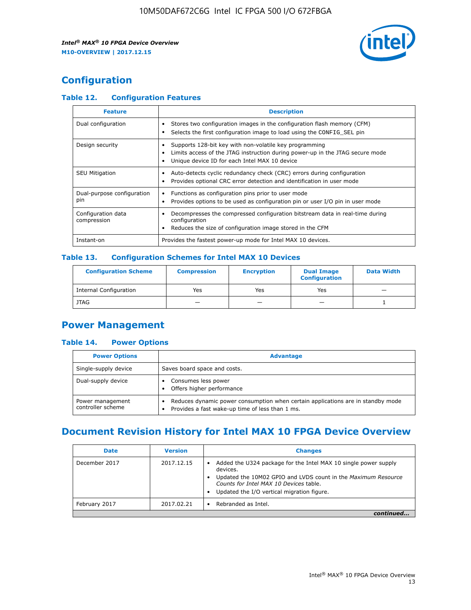

# **Configuration**

## **Table 12. Configuration Features**

| <b>Feature</b>                    | <b>Description</b>                                                                                                                                                                       |
|-----------------------------------|------------------------------------------------------------------------------------------------------------------------------------------------------------------------------------------|
| Dual configuration                | Stores two configuration images in the configuration flash memory (CFM)<br>Selects the first configuration image to load using the CONFIG SEL pin                                        |
| Design security                   | Supports 128-bit key with non-volatile key programming<br>Limits access of the JTAG instruction during power-up in the JTAG secure mode<br>Unique device ID for each Intel MAX 10 device |
| <b>SEU Mitigation</b>             | Auto-detects cyclic redundancy check (CRC) errors during configuration<br>Provides optional CRC error detection and identification in user mode                                          |
| Dual-purpose configuration<br>pin | Functions as configuration pins prior to user mode<br>Provides options to be used as configuration pin or user I/O pin in user mode                                                      |
| Configuration data<br>compression | Decompresses the compressed configuration bitstream data in real-time during<br>configuration<br>Reduces the size of configuration image stored in the CFM                               |
| Instant-on                        | Provides the fastest power-up mode for Intel MAX 10 devices.                                                                                                                             |

## **Table 13. Configuration Schemes for Intel MAX 10 Devices**

| <b>Configuration Scheme</b>   | <b>Compression</b>       | <b>Encryption</b> | <b>Dual Image</b><br><b>Configuration</b> | <b>Data Width</b> |
|-------------------------------|--------------------------|-------------------|-------------------------------------------|-------------------|
| <b>Internal Configuration</b> | Yes                      | Yes               | Yes                                       |                   |
| <b>JTAG</b>                   | $\overline{\phantom{a}}$ |                   | -                                         |                   |

## **Power Management**

## **Table 14. Power Options**

| <b>Power Options</b>                  | <b>Advantage</b>                                                                                                                        |  |
|---------------------------------------|-----------------------------------------------------------------------------------------------------------------------------------------|--|
| Single-supply device                  | Saves board space and costs.                                                                                                            |  |
| Dual-supply device                    | Consumes less power<br>Offers higher performance<br>$\bullet$                                                                           |  |
| Power management<br>controller scheme | Reduces dynamic power consumption when certain applications are in standby mode<br>Provides a fast wake-up time of less than 1 ms.<br>٠ |  |

# **Document Revision History for Intel MAX 10 FPGA Device Overview**

| <b>Date</b>   | <b>Version</b> | <b>Changes</b>                                                                                                                                                                                                                       |
|---------------|----------------|--------------------------------------------------------------------------------------------------------------------------------------------------------------------------------------------------------------------------------------|
| December 2017 | 2017.12.15     | Added the U324 package for the Intel MAX 10 single power supply<br>devices.<br>Updated the 10M02 GPIO and LVDS count in the Maximum Resource<br>Counts for Intel MAX 10 Devices table.<br>Updated the I/O vertical migration figure. |
| February 2017 | 2017.02.21     | Rebranded as Intel.                                                                                                                                                                                                                  |
|               |                |                                                                                                                                                                                                                                      |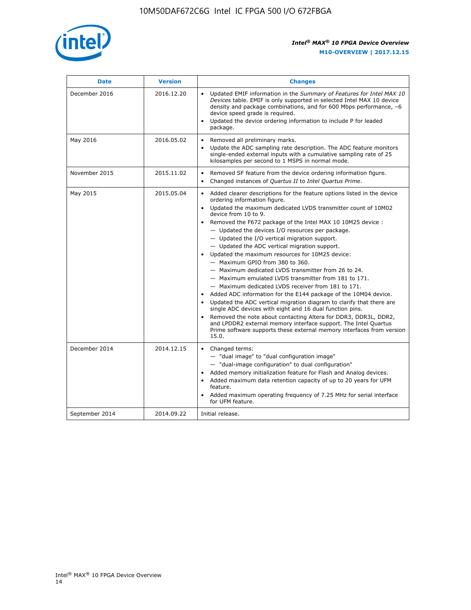

| <b>Date</b>    | <b>Version</b> | <b>Changes</b>                                                                                                                                                                                                                                                                                                                                                                                                                                                                                                                                                                                                                                                                                                                                                                                                                                                                                                                                                                                                                                                                                                                                           |
|----------------|----------------|----------------------------------------------------------------------------------------------------------------------------------------------------------------------------------------------------------------------------------------------------------------------------------------------------------------------------------------------------------------------------------------------------------------------------------------------------------------------------------------------------------------------------------------------------------------------------------------------------------------------------------------------------------------------------------------------------------------------------------------------------------------------------------------------------------------------------------------------------------------------------------------------------------------------------------------------------------------------------------------------------------------------------------------------------------------------------------------------------------------------------------------------------------|
| December 2016  | 2016.12.20     | • Updated EMIF information in the Summary of Features for Intel MAX 10<br>Devices table. EMIF is only supported in selected Intel MAX 10 device<br>density and package combinations, and for 600 Mbps performance, -6<br>device speed grade is required.<br>Updated the device ordering information to include P for leaded<br>package.                                                                                                                                                                                                                                                                                                                                                                                                                                                                                                                                                                                                                                                                                                                                                                                                                  |
| May 2016       | 2016.05.02     | Removed all preliminary marks.<br>Update the ADC sampling rate description. The ADC feature monitors<br>$\bullet$<br>single-ended external inputs with a cumulative sampling rate of 25<br>kilosamples per second to 1 MSPS in normal mode.                                                                                                                                                                                                                                                                                                                                                                                                                                                                                                                                                                                                                                                                                                                                                                                                                                                                                                              |
| November 2015  | 2015.11.02     | Removed SF feature from the device ordering information figure.<br>$\bullet$<br>Changed instances of Quartus II to Intel Quartus Prime.<br>$\bullet$                                                                                                                                                                                                                                                                                                                                                                                                                                                                                                                                                                                                                                                                                                                                                                                                                                                                                                                                                                                                     |
| May 2015       | 2015.05.04     | Added clearer descriptions for the feature options listed in the device<br>$\bullet$<br>ordering information figure.<br>Updated the maximum dedicated LVDS transmitter count of 10M02<br>$\bullet$<br>device from 10 to 9.<br>Removed the F672 package of the Intel MAX 10 10M25 device :<br>- Updated the devices I/O resources per package.<br>$-$ Updated the I/O vertical migration support.<br>- Updated the ADC vertical migration support.<br>Updated the maximum resources for 10M25 device:<br>- Maximum GPIO from 380 to 360.<br>- Maximum dedicated LVDS transmitter from 26 to 24.<br>- Maximum emulated LVDS transmitter from 181 to 171.<br>- Maximum dedicated LVDS receiver from 181 to 171.<br>Added ADC information for the E144 package of the 10M04 device.<br>$\bullet$<br>Updated the ADC vertical migration diagram to clarify that there are<br>single ADC devices with eight and 16 dual function pins.<br>Removed the note about contacting Altera for DDR3, DDR3L, DDR2,<br>and LPDDR2 external memory interface support. The Intel Quartus<br>Prime software supports these external memory interfaces from version<br>15.0. |
| December 2014  | 2014.12.15     | $\bullet$<br>Changed terms:<br>- "dual image" to "dual configuration image"<br>- "dual-image configuration" to dual configuration"<br>Added memory initialization feature for Flash and Analog devices.<br>$\bullet$<br>Added maximum data retention capacity of up to 20 years for UFM<br>$\bullet$<br>feature.<br>Added maximum operating frequency of 7.25 MHz for serial interface<br>for UFM feature.                                                                                                                                                                                                                                                                                                                                                                                                                                                                                                                                                                                                                                                                                                                                               |
| September 2014 | 2014.09.22     | Initial release.                                                                                                                                                                                                                                                                                                                                                                                                                                                                                                                                                                                                                                                                                                                                                                                                                                                                                                                                                                                                                                                                                                                                         |